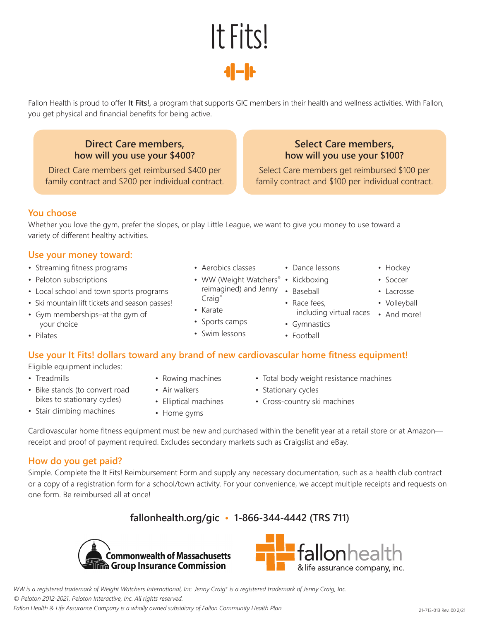Select Care members get reimbursed \$100 per family contract and \$100 per individual contract.

**Select Care members, how will you use your \$100?** 

**You choose**

Whether you love the gym, prefer the slopes, or play Little League, we want to give you money to use toward a variety of different healthy activities.

## **Use your money toward:**

- Streaming fitness programs Aerobics classes Dance lessons Hockey
- P eloton subscriptions WW (Weight Watchers® Kickboxing Soccer
- Local school and town sports programs reimagined is a reimaging of the Local school and Jenny Brain

you get physical and financial benefits for being active.

**Direct Care members, how will you use your \$400?**  Direct Care members get reimbursed \$400 per family contract and \$200 per individual contract.

- Craig Ski mountain lift tickets and season passes! Race fees, Volleyball Karate
- your choice  $\overline{\phantom{a}}$   $\overline{\phantom{a}}$   $\overline{\phantom{a}}$  Sports camps  $\overline{\phantom{a}}$  Gymnastics
- 

# **Use your It Fits! dollars toward any brand of new cardiovascular home fitness equipment!**

Eligible equipment includes:

- 
- Bike stands (to convert road Air walkers Stationary cycles
- Stair climbing machines Home gyms
- 
- 
- -
- Cardiovascular home fitness equipment must be new and purchased within the benefit year at a retail store or at Amazon receipt and proof of payment required. Excludes secondary markets such as Craigslist and eBay.

## **How do you get paid?**

Simple. Complete the It Fits! Reimbursement Form and supply any necessary documentation, such as a health club contract or a copy of a registration form for a school/town activity. For your convenience, we accept multiple receipts and requests on one form. Be reimbursed all at once!

# **fallonhealth.org/gic • 1-866-344-4442 (TRS 711)**

*WW is a registered trademark of Weight Watchers International, Inc. Jenny Craig® is a registered trademark of Jenny Craig, Inc. © Peloton 2012-2021, Peloton Interactive, Inc. All rights reserved.*

**Commonwealth of Massachusetts no Group Insurance Commission** 

*Fallon Health & Life Assurance Company is a wholly owned subsidiary of Fallon Community Health Plan.* 21-713-013 Rev. 00 2/21

- 
- 
- 
- 
- 
- Pilates Swim lessons Football
- Treadmills Rowing machines Total body weight resistance machines
	-
	- bikes to stationary cycles) Elliptical machines Cross-country ski machines

including virtual races • And more!

fallonhealth

& life assurance company, inc.

- reimagined) and Jenny . Baseball . 2008 . Lacrosse
	-



Fallon Health is proud to offer **It Fits!,** a program that supports GIC members in their health and wellness activities. With Fallon,